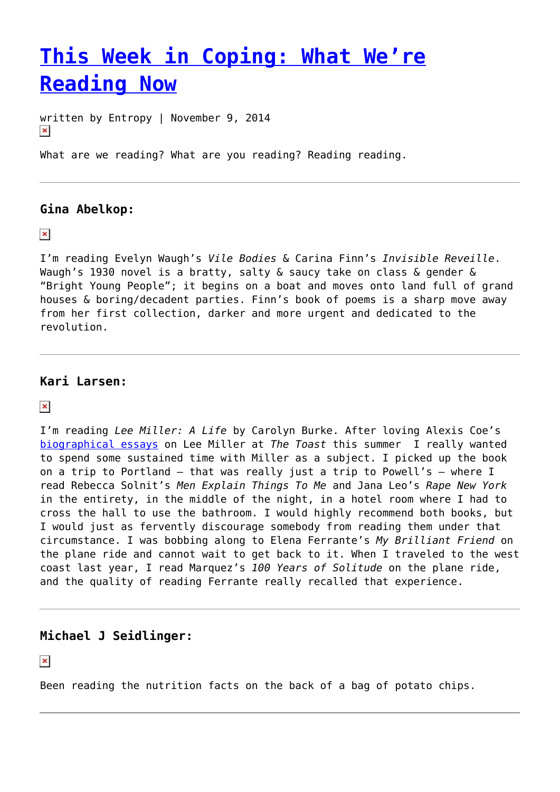# **[This Week in Coping: What We're](https://entropymag.org/this-week-in-coping-what-were-reading-now-2/) [Reading Now](https://entropymag.org/this-week-in-coping-what-were-reading-now-2/)**

written by Entropy | November 9, 2014  $\pmb{\times}$ 

What are we reading? What are you reading? Reading reading.

# **Gina Abelkop:**

 $\pmb{\times}$ 

I'm reading Evelyn Waugh's *Vile Bodies* & Carina Finn's *Invisible Reveille*. Waugh's 1930 novel is a bratty, salty & saucy take on class & gender & "Bright Young People"; it begins on a boat and moves onto land full of grand houses & boring/decadent parties. Finn's book of poems is a sharp move away from her first collection, darker and more urgent and dedicated to the revolution.

## **Kari Larsen:**

 $\pmb{\times}$ 

I'm reading *Lee Miller: A Life* by Carolyn Burke. After loving Alexis Coe's [biographical essays](http://the-toast.net/2014/06/23/archival-mix-story-lee-miller-part-one/) on Lee Miller at *The Toast* this summer I really wanted to spend some sustained time with Miller as a subject. I picked up the book on a trip to Portland — that was really just a trip to Powell's — where I read Rebecca Solnit's *Men Explain Things To Me* and Jana Leo's *Rape New York* in the entirety, in the middle of the night, in a hotel room where I had to cross the hall to use the bathroom. I would highly recommend both books, but I would just as fervently discourage somebody from reading them under that circumstance. I was bobbing along to Elena Ferrante's *My Brilliant Friend* on the plane ride and cannot wait to get back to it. When I traveled to the west coast last year, I read Marquez's *100 Years of Solitude* on the plane ride, and the quality of reading Ferrante really recalled that experience.

# **Michael J Seidlinger:**

 $\pmb{\times}$ 

Been reading the nutrition facts on the back of a bag of potato chips.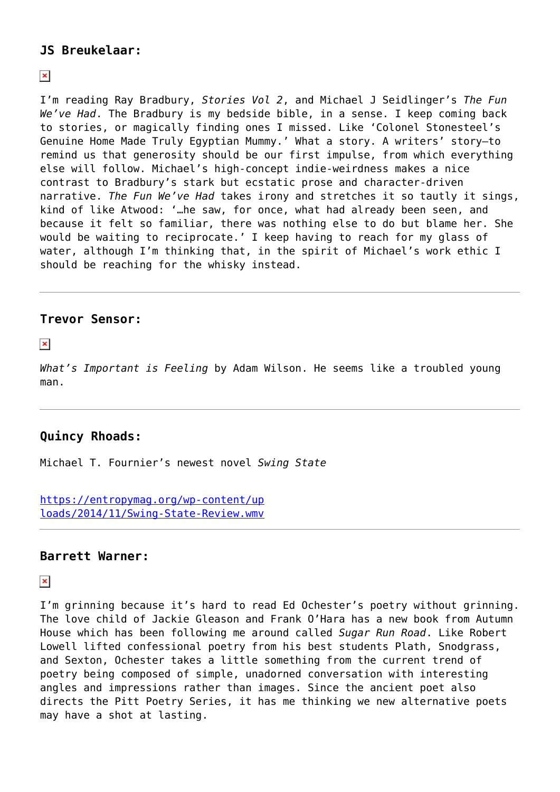# **JS Breukelaar:**

## $\pmb{\times}$

I'm reading Ray Bradbury, *Stories Vol 2*, and Michael J Seidlinger's *The Fun We've Had*. The Bradbury is my bedside bible, in a sense. I keep coming back to stories, or magically finding ones I missed. Like 'Colonel Stonesteel's Genuine Home Made Truly Egyptian Mummy.' What a story. A writers' story—to remind us that generosity should be our first impulse, from which everything else will follow. Michael's high-concept indie-weirdness makes a nice contrast to Bradbury's stark but ecstatic prose and character-driven narrative. *The Fun We've Had* takes irony and stretches it so tautly it sings, kind of like Atwood: '…he saw, for once, what had already been seen, and because it felt so familiar, there was nothing else to do but blame her. She would be waiting to reciprocate.' I keep having to reach for my glass of water, although I'm thinking that, in the spirit of Michael's work ethic I should be reaching for the whisky instead.

# **Trevor Sensor:**

 $\pmb{\times}$ 

*What's Important is Feeling* by Adam Wilson. He seems like a troubled young man.

# **Quincy Rhoads:**

Michael T. Fournier's newest novel *Swing State*

[https://entropymag.org/wp-content/up](https://entropymag.org/wp-content/uploads/2014/11/Swing-State-Review.wmv) [loads/2014/11/Swing-State-Review.wmv](https://entropymag.org/wp-content/uploads/2014/11/Swing-State-Review.wmv)

# **Barrett Warner:**

 $\pmb{\times}$ 

I'm grinning because it's hard to read Ed Ochester's poetry without grinning. The love child of Jackie Gleason and Frank O'Hara has a new book from Autumn House which has been following me around called *Sugar Run Road*. Like Robert Lowell lifted confessional poetry from his best students Plath, Snodgrass, and Sexton, Ochester takes a little something from the current trend of poetry being composed of simple, unadorned conversation with interesting angles and impressions rather than images. Since the ancient poet also directs the Pitt Poetry Series, it has me thinking we new alternative poets may have a shot at lasting.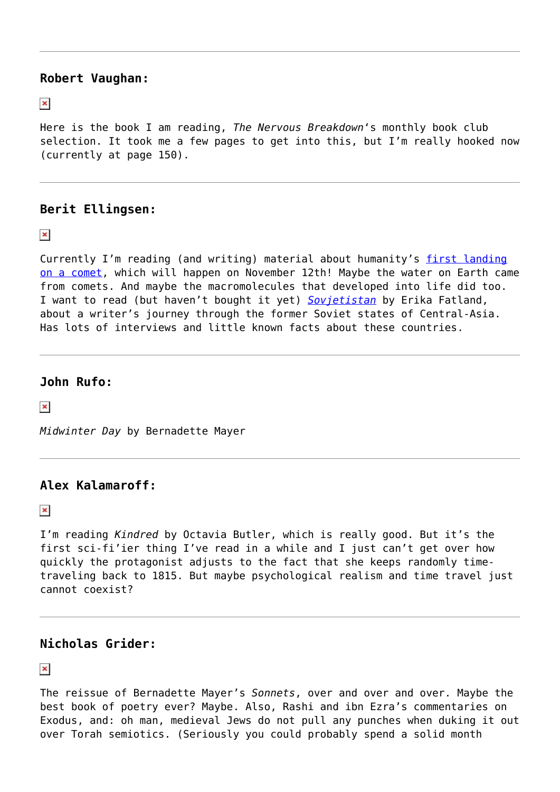#### **Robert Vaughan:**

 $\pmb{\times}$ 

Here is the book I am reading, *The Nervous Breakdown*'s monthly book club selection. It took me a few pages to get into this, but I'm really hooked now (currently at page 150).

# **Berit Ellingsen:**

 $\pmb{\times}$ 

Currently I'm reading (and writing) material about humanity's [first landing](http://www.esa.int/spaceinvideos/Videos/2014/11/Once_upon_a_time_preparing_for_comet_landing) [on a comet,](http://www.esa.int/spaceinvideos/Videos/2014/11/Once_upon_a_time_preparing_for_comet_landing) which will happen on November 12th! Maybe the water on Earth came from comets. And maybe the macromolecules that developed into life did too. I want to read (but haven't bought it yet) *[Sovjetistan](http://www.kagge.no/index.cfm?tmpl=butikk&a=product_inline&b_kid=1044807&b_id=1384611)* by Erika Fatland, about a writer's journey through the former Soviet states of Central-Asia. Has lots of interviews and little known facts about these countries.

# **John Rufo:**

 $\pmb{\times}$ 

*Midwinter Day* by Bernadette Mayer

# **Alex Kalamaroff:**

 $\pmb{\times}$ 

I'm reading *Kindred* by Octavia Butler, which is really good. But it's the first sci-fi'ier thing I've read in a while and I just can't get over how quickly the protagonist adjusts to the fact that she keeps randomly timetraveling back to 1815. But maybe psychological realism and time travel just cannot coexist?

# **Nicholas Grider:**

 $\pmb{\times}$ 

The reissue of Bernadette Mayer's *Sonnets*, over and over and over. Maybe the best book of poetry ever? Maybe. Also, Rashi and ibn Ezra's commentaries on Exodus, and: oh man, medieval Jews do not pull any punches when duking it out over Torah semiotics. (Seriously you could probably spend a solid month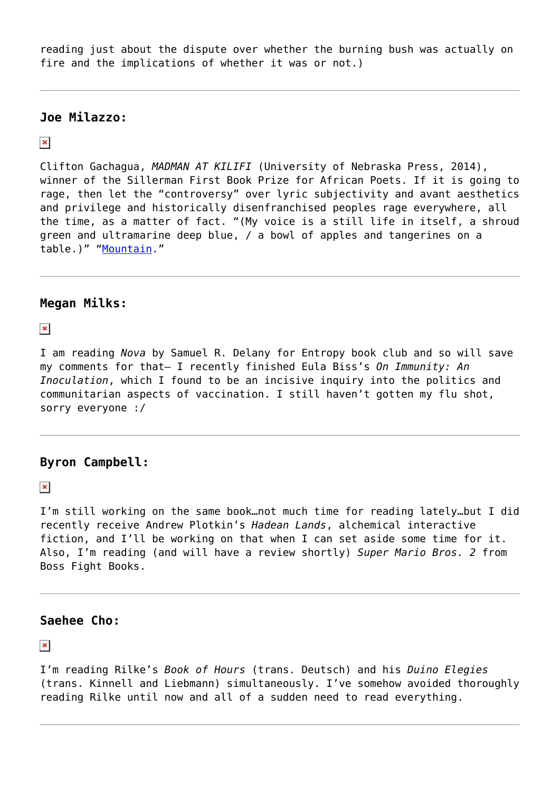reading just about the dispute over whether the burning bush was actually on fire and the implications of whether it was or not.)

### **Joe Milazzo:**

#### $\pmb{\times}$

Clifton Gachagua, *MADMAN AT KILIFI* (University of Nebraska Press, 2014), winner of the Sillerman First Book Prize for African Poets. If it is going to rage, then let the "controversy" over lyric subjectivity and avant aesthetics and privilege and historically disenfranchised peoples rage everywhere, all the time, as a matter of fact. "(My voice is a still life in itself, a shroud green and ultramarine deep blue, / a bowl of apples and tangerines on a table.)" "[Mountain.](%20http://www.poetryfoundation.org/poem/248046)"

## **Megan Milks:**

 $\pmb{\times}$ 

I am reading *Nova* by Samuel R. Delany for Entropy book club and so will save my comments for that– I recently finished Eula Biss's *On Immunity: An Inoculation*, which I found to be an incisive inquiry into the politics and communitarian aspects of vaccination. I still haven't gotten my flu shot, sorry everyone :/

## **Byron Campbell:**

 $\pmb{\times}$ 

I'm still working on the same book…not much time for reading lately…but I did recently receive Andrew Plotkin's *Hadean Lands*, alchemical interactive fiction, and I'll be working on that when I can set aside some time for it. Also, I'm reading (and will have a review shortly) *Super Mario Bros. 2* from Boss Fight Books.

# **Saehee Cho:**

 $\pmb{\times}$ 

I'm reading Rilke's *Book of Hours* (trans. Deutsch) and his *Duino Elegies* (trans. Kinnell and Liebmann) simultaneously. I've somehow avoided thoroughly reading Rilke until now and all of a sudden need to read everything.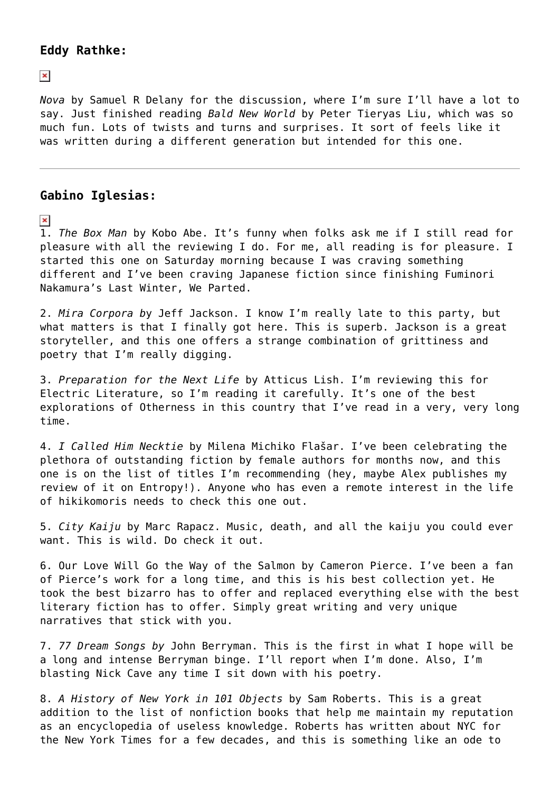### **Eddy Rathke:**

 $\pmb{\times}$ 

*Nova* by Samuel R Delany for the discussion, where I'm sure I'll have a lot to say. Just finished reading *Bald New World* by Peter Tieryas Liu, which was so much fun. Lots of twists and turns and surprises. It sort of feels like it was written during a different generation but intended for this one.

# **Gabino Iglesias:**

 $\pmb{\times}$ 

1. *The Box Man* by Kobo Abe. It's funny when folks ask me if I still read for pleasure with all the reviewing I do. For me, all reading is for pleasure. I started this one on Saturday morning because I was craving something different and I've been craving Japanese fiction since finishing Fuminori Nakamura's Last Winter, We Parted.

2. *Mira Corpora b*y Jeff Jackson. I know I'm really late to this party, but what matters is that I finally got here. This is superb. Jackson is a great storyteller, and this one offers a strange combination of grittiness and poetry that I'm really digging.

3. *Preparation for the Next Life* by Atticus Lish. I'm reviewing this for Electric Literature, so I'm reading it carefully. It's one of the best explorations of Otherness in this country that I've read in a very, very long time.

4. *I Called Him Necktie* by Milena Michiko Flašar. I've been celebrating the plethora of outstanding fiction by female authors for months now, and this one is on the list of titles I'm recommending (hey, maybe Alex publishes my review of it on Entropy!). Anyone who has even a remote interest in the life of hikikomoris needs to check this one out.

5. *City Kaiju* by Marc Rapacz. Music, death, and all the kaiju you could ever want. This is wild. Do check it out.

6. Our Love Will Go the Way of the Salmon by Cameron Pierce. I've been a fan of Pierce's work for a long time, and this is his best collection yet. He took the best bizarro has to offer and replaced everything else with the best literary fiction has to offer. Simply great writing and very unique narratives that stick with you.

7. *77 Dream Songs by* John Berryman. This is the first in what I hope will be a long and intense Berryman binge. I'll report when I'm done. Also, I'm blasting Nick Cave any time I sit down with his poetry.

8. *A History of New York in 101 Objects* by Sam Roberts. This is a great addition to the list of nonfiction books that help me maintain my reputation as an encyclopedia of useless knowledge. Roberts has written about NYC for the New York Times for a few decades, and this is something like an ode to